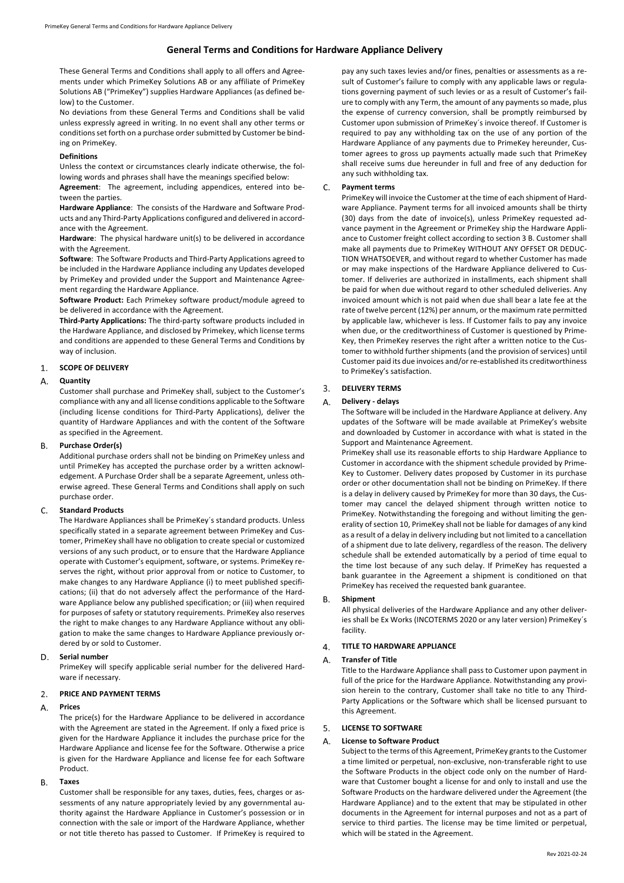# **General Terms and Conditions for Hardware Appliance Delivery**

These General Terms and Conditions shall apply to all offers and Agreements under which PrimeKey Solutions AB or any affiliate of PrimeKey Solutions AB ("PrimeKey") supplies Hardware Appliances (as defined below) to the Customer.

No deviations from these General Terms and Conditions shall be valid unless expressly agreed in writing. In no event shall any other terms or conditions set forth on a purchase order submitted by Customer be binding on PrimeKey.

# **Definitions**

Unless the context or circumstances clearly indicate otherwise, the following words and phrases shall have the meanings specified below:

**Agreement**: The agreement, including appendices, entered into between the parties.

**Hardware Appliance**: The consists of the Hardware and Software Products and any Third-Party Applications configured and delivered in accordance with the Agreement.

**Hardware**: The physical hardware unit(s) to be delivered in accordance with the Agreement.

**Software**: The Software Products and Third-Party Applications agreed to be included in the Hardware Appliance including any Updates developed by PrimeKey and provided under the Support and Maintenance Agreement regarding the Hardware Appliance.

**Software Product:** Each Primekey software product/module agreed to be delivered in accordance with the Agreement.

**Third-Party Applications:** The third-party software products included in the Hardware Appliance, and disclosed by Primekey, which license terms and conditions are appended to these General Terms and Conditions by way of inclusion.

## $1.$ **SCOPE OF DELIVERY**

### **Quantity**   $\Delta$

Customer shall purchase and PrimeKey shall, subject to the Customer's compliance with any and all license conditions applicable to the Software (including license conditions for Third-Party Applications), deliver the quantity of Hardware Appliances and with the content of the Software as specified in the Agreement.

### **Purchase Order(s) B.**

Additional purchase orders shall not be binding on PrimeKey unless and until PrimeKey has accepted the purchase order by a written acknowledgement. A Purchase Order shall be a separate Agreement, unless otherwise agreed. These General Terms and Conditions shall apply on such purchase order.

### $\mathsf{C}$ **Standard Products**

The Hardware Appliances shall be PrimeKey´s standard products. Unless specifically stated in a separate agreement between PrimeKey and Customer, PrimeKey shall have no obligation to create special or customized versions of any such product, or to ensure that the Hardware Appliance operate with Customer's equipment, software, or systems. PrimeKey reserves the right, without prior approval from or notice to Customer, to make changes to any Hardware Appliance (i) to meet published specifications; (ii) that do not adversely affect the performance of the Hardware Appliance below any published specification; or (iii) when required for purposes of safety or statutory requirements. PrimeKey also reserves the right to make changes to any Hardware Appliance without any obligation to make the same changes to Hardware Appliance previously ordered by or sold to Customer.

### D. **Serial number**

PrimeKey will specify applicable serial number for the delivered Hardware if necessary.

# **PRICE AND PAYMENT TERMS**

### $A<sub>1</sub>$ **Prices**

The price(s) for the Hardware Appliance to be delivered in accordance with the Agreement are stated in the Agreement. If only a fixed price is given for the Hardware Appliance it includes the purchase price for the Hardware Appliance and license fee for the Software. Otherwise a price is given for the Hardware Appliance and license fee for each Software Product.

### **Taxes B.**

Customer shall be responsible for any taxes, duties, fees, charges or assessments of any nature appropriately levied by any governmental authority against the Hardware Appliance in Customer's possession or in connection with the sale or import of the Hardware Appliance, whether or not title thereto has passed to Customer. If PrimeKey is required to

pay any such taxes levies and/or fines, penalties or assessments as a result of Customer's failure to comply with any applicable laws or regulations governing payment of such levies or as a result of Customer's failure to comply with any Term, the amount of any payments so made, plus the expense of currency conversion, shall be promptly reimbursed by Customer upon submission of PrimeKey´s invoice thereof. If Customer is required to pay any withholding tax on the use of any portion of the Hardware Appliance of any payments due to PrimeKey hereunder, Customer agrees to gross up payments actually made such that PrimeKey shall receive sums due hereunder in full and free of any deduction for any such withholding tax.

### C. **Payment terms**

PrimeKey will invoice the Customer at the time of each shipment of Hardware Appliance. Payment terms for all invoiced amounts shall be thirty (30) days from the date of invoice(s), unless PrimeKey requested advance payment in the Agreement or PrimeKey ship the Hardware Appliance to Customer freight collect according to section 3 B. Customer shall make all payments due to PrimeKey WITHOUT ANY OFFSET OR DEDUC-TION WHATSOEVER, and without regard to whether Customer has made or may make inspections of the Hardware Appliance delivered to Customer. If deliveries are authorized in installments, each shipment shall be paid for when due without regard to other scheduled deliveries. Any invoiced amount which is not paid when due shall bear a late fee at the rate of twelve percent (12%) per annum, or the maximum rate permitted by applicable law, whichever is less. If Customer fails to pay any invoice when due, or the creditworthiness of Customer is questioned by Prime-Key, then PrimeKey reserves the right after a written notice to the Customer to withhold further shipments (and the provision of services) until Customer paid its due invoices and/or re-established its creditworthiness to PrimeKey's satisfaction.

## **DELIVERY TERMS**  $\mathbf{3}$

#### **Delivery - delays**  $\mathbf{A}$

The Software will be included in the Hardware Appliance at delivery. Any updates of the Software will be made available at PrimeKey's website and downloaded by Customer in accordance with what is stated in the Support and Maintenance Agreement.

PrimeKey shall use its reasonable efforts to ship Hardware Appliance to Customer in accordance with the shipment schedule provided by Prime-Key to Customer. Delivery dates proposed by Customer in its purchase order or other documentation shall not be binding on PrimeKey. If there is a delay in delivery caused by PrimeKey for more than 30 days, the Customer may cancel the delayed shipment through written notice to PrimeKey. Notwithstanding the foregoing and without limiting the generality of section 10, PrimeKey shall not be liable for damages of any kind as a result of a delay in delivery including but not limited to a cancellation of a shipment due to late delivery, regardless of the reason. The delivery schedule shall be extended automatically by a period of time equal to the time lost because of any such delay. If PrimeKey has requested a bank guarantee in the Agreement a shipment is conditioned on that PrimeKey has received the requested bank guarantee.

# **Shipment**

All physical deliveries of the Hardware Appliance and any other deliveries shall be Ex Works (INCOTERMS 2020 or any later version) PrimeKey´s facility.

## $4.$ **TITLE TO HARDWARE APPLIANCE**

## A. **Transfer of Title**

Title to the Hardware Appliance shall pass to Customer upon payment in full of the price for the Hardware Appliance. Notwithstanding any provision herein to the contrary, Customer shall take no title to any Third-Party Applications or the Software which shall be licensed pursuant to this Agreement.

## **LICENSE TO SOFTWARE**  5.

## **License to Software Product** Α.

Subject to the terms of this Agreement, PrimeKey grants to the Customer a time limited or perpetual, non-exclusive, non-transferable right to use the Software Products in the object code only on the number of Hardware that Customer bought a license for and only to install and use the Software Products on the hardware delivered under the Agreement (the Hardware Appliance) and to the extent that may be stipulated in other documents in the Agreement for internal purposes and not as a part of service to third parties. The license may be time limited or perpetual, which will be stated in the Agreement.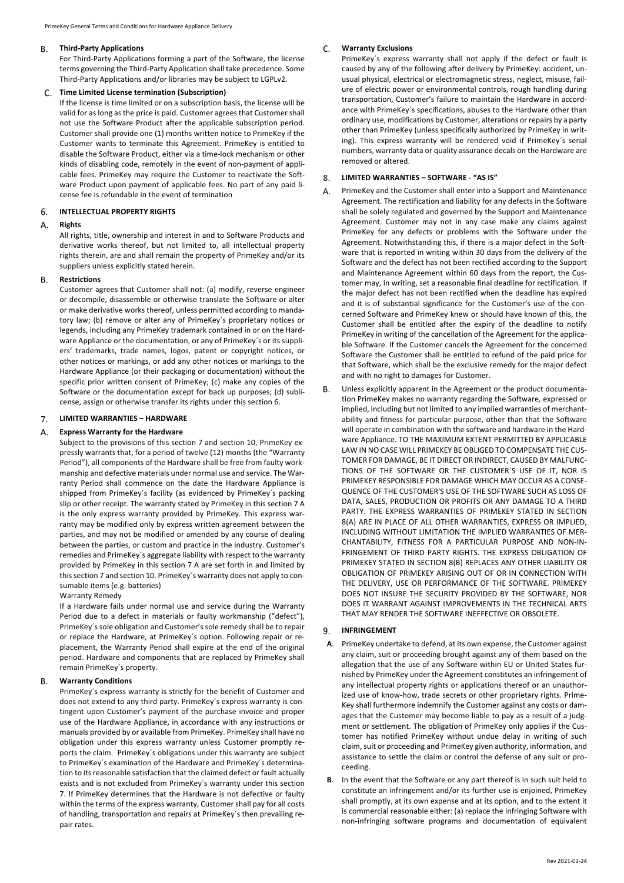#### **B. Third-Party Applications**

For Third-Party Applications forming a part of the Software, the license terms governing the Third-Party Application shall take precedence. Some Third-Party Applications and/or libraries may be subject to LGPLv2.

# **Time Limited License termination (Subscription)**

If the license is time limited or on a subscription basis, the license will be valid for as long as the price is paid. Customer agrees that Customer shall not use the Software Product after the applicable subscription period. Customer shall provide one (1) months written notice to PrimeKey if the Customer wants to terminate this Agreement. PrimeKey is entitled to disable the Software Product, either via a time-lock mechanism or other kinds of disabling code, remotely in the event of non-payment of applicable fees. PrimeKey may require the Customer to reactivate the Software Product upon payment of applicable fees. No part of any paid license fee is refundable in the event of termination

# **INTELLECTUAL PROPERTY RIGHTS**  6.

## **Rights** Α.

All rights, title, ownership and interest in and to Software Products and derivative works thereof, but not limited to, all intellectual property rights therein, are and shall remain the property of PrimeKey and/or its suppliers unless explicitly stated herein.

# **Restrictions**

Customer agrees that Customer shall not: (a) modify, reverse engineer or decompile, disassemble or otherwise translate the Software or alter or make derivative works thereof, unless permitted according to mandatory law; (b) remove or alter any of PrimeKey´s proprietary notices or legends, including any PrimeKey trademark contained in or on the Hardware Appliance or the documentation, or any of PrimeKey´s or its suppliers' trademarks, trade names, logos, patent or copyright notices, or other notices or markings, or add any other notices or markings to the Hardware Appliance (or their packaging or documentation) without the specific prior written consent of PrimeKey; (c) make any copies of the Software or the documentation except for back up purposes; (d) sublicense, assign or otherwise transfer its rights under this section 6.

## **LIMITED WARRANTIES – HARDWARE**   $7<sub>1</sub>$

#### A. **Express Warranty for the Hardware**

Subject to the provisions of this section 7 and section 10, PrimeKey expressly warrants that, for a period of twelve (12) months (the "Warranty Period"), all components of the Hardware shall be free from faulty workmanship and defective materials under normal use and service. The Warranty Period shall commence on the date the Hardware Appliance is shipped from PrimeKey´s facility (as evidenced by PrimeKey´s packing slip or other receipt. The warranty stated by PrimeKey in this section 7 A is the only express warranty provided by PrimeKey. This express warranty may be modified only by express written agreement between the parties, and may not be modified or amended by any course of dealing between the parties, or custom and practice in the industry. Customer's remedies and PrimeKey´s aggregate liability with respect to the warranty provided by PrimeKey in this section 7 A are set forth in and limited by this section 7 and section 10. PrimeKey´s warranty does not apply to consumable items (e.g. batteries)

# Warranty Remedy

If a Hardware fails under normal use and service during the Warranty Period due to a defect in materials or faulty workmanship ("defect"), PrimeKey´s sole obligation and Customer's sole remedy shall be to repair or replace the Hardware, at PrimeKey´s option. Following repair or replacement, the Warranty Period shall expire at the end of the original period. Hardware and components that are replaced by PrimeKey shall remain PrimeKey´s property.

## R. **Warranty Conditions**

PrimeKey´s express warranty is strictly for the benefit of Customer and does not extend to any third party. PrimeKey´s express warranty is contingent upon Customer's payment of the purchase invoice and proper use of the Hardware Appliance, in accordance with any instructions or manuals provided by or available from PrimeKey. PrimeKey shall have no obligation under this express warranty unless Customer promptly reports the claim. PrimeKey´s obligations under this warranty are subject to PrimeKey´s examination of the Hardware and PrimeKey´s determination to its reasonable satisfaction that the claimed defect or fault actually exists and is not excluded from PrimeKey´s warranty under this section 7. If PrimeKey determines that the Hardware is not defective or faulty within the terms of the express warranty, Customer shall pay for all costs of handling, transportation and repairs at PrimeKey´s then prevailing repair rates.

#### $C_{\cdot}$ **Warranty Exclusions**

PrimeKey´s express warranty shall not apply if the defect or fault is caused by any of the following after delivery by PrimeKey: accident, unusual physical, electrical or electromagnetic stress, neglect, misuse, failure of electric power or environmental controls, rough handling during transportation, Customer's failure to maintain the Hardware in accordance with PrimeKey´s specifications, abuses to the Hardware other than ordinary use, modifications by Customer, alterations or repairs by a party other than PrimeKey (unless specifically authorized by PrimeKey in writing). This express warranty will be rendered void if PrimeKey´s serial numbers, warranty data or quality assurance decals on the Hardware are removed or altered.

# **LIMITED WARRANTIES – SOFTWARE - "AS IS"**  8.

- A. PrimeKey and the Customer shall enter into a Support and Maintenance Agreement. The rectification and liability for any defects in the Software shall be solely regulated and governed by the Support and Maintenance Agreement. Customer may not in any case make any claims against PrimeKey for any defects or problems with the Software under the Agreement. Notwithstanding this, if there is a major defect in the Software that is reported in writing within 30 days from the delivery of the Software and the defect has not been rectified according to the Support and Maintenance Agreement within 60 days from the report, the Customer may, in writing, set a reasonable final deadline for rectification. If the major defect has not been rectified when the deadline has expired and it is of substantial significance for the Customer's use of the concerned Software and PrimeKey knew or should have known of this, the Customer shall be entitled after the expiry of the deadline to notify PrimeKey in writing of the cancellation of the Agreement for the applicable Software. If the Customer cancels the Agreement for the concerned Software the Customer shall be entitled to refund of the paid price for that Software, which shall be the exclusive remedy for the major defect and with no right to damages for Customer.
- $\mathsf{R}$ Unless explicitly apparent in the Agreement or the product documentation PrimeKey makes no warranty regarding the Software, expressed or implied, including but not limited to any implied warranties of merchantability and fitness for particular purpose, other than that the Software will operate in combination with the software and hardware in the Hardware Appliance. TO THE MAXIMUM EXTENT PERMITTED BY APPLICABLE LAW IN NO CASE WILL PRIMEKEY BE OBLIGED TO COMPENSATE THE CUS-TOMER FOR DAMAGE, BE IT DIRECT OR INDIRECT, CAUSED BY MALFUNC-TIONS OF THE SOFTWARE OR THE CUSTOMER´S USE OF IT, NOR IS PRIMEKEY RESPONSIBLE FOR DAMAGE WHICH MAY OCCUR AS A CONSE-QUENCE OF THE CUSTOMER'S USE OF THE SOFTWARE SUCH AS LOSS OF DATA, SALES, PRODUCTION OR PROFITS OR ANY DAMAGE TO A THIRD PARTY. THE EXPRESS WARRANTIES OF PRIMEKEY STATED IN SECTION 8(A) ARE IN PLACE OF ALL OTHER WARRANTIES, EXPRESS OR IMPLIED, INCLUDING WITHOUT LIMITATION THE IMPLIED WARRANTIES OF MER-CHANTABILITY, FITNESS FOR A PARTICULAR PURPOSE AND NON-IN-FRINGEMENT OF THIRD PARTY RIGHTS. THE EXPRESS OBLIGATION OF PRIMEKEY STATED IN SECTION 8(B) REPLACES ANY OTHER LIABILITY OR OBLIGATION OF PRIMEKEY ARISING OUT OF OR IN CONNECTION WITH THE DELIVERY, USE OR PERFORMANCE OF THE SOFTWARE. PRIMEKEY DOES NOT INSURE THE SECURITY PROVIDED BY THE SOFTWARE, NOR DOES IT WARRANT AGAINST IMPROVEMENTS IN THE TECHNICAL ARTS THAT MAY RENDER THE SOFTWARE INEFFECTIVE OR OBSOLETE.

## $9<sub>1</sub>$ **INFRINGEMENT**

- **A**. PrimeKey undertake to defend, at its own expense, the Customer against any claim, suit or proceeding brought against any of them based on the allegation that the use of any Software within EU or United States furnished by PrimeKey under the Agreement constitutes an infringement of any intellectual property rights or applications thereof or an unauthorized use of know-how, trade secrets or other proprietary rights. Prime-Key shall furthermore indemnify the Customer against any costs or damages that the Customer may become liable to pay as a result of a judgment or settlement. The obligation of PrimeKey only applies if the Customer has notified PrimeKey without undue delay in writing of such claim, suit or proceeding and PrimeKey given authority, information, and assistance to settle the claim or control the defense of any suit or proceeding.
- **B**. In the event that the Software or any part thereof is in such suit held to constitute an infringement and/or its further use is enjoined, PrimeKey shall promptly, at its own expense and at its option, and to the extent it is commercial reasonable either: (a) replace the infringing Software with non-infringing software programs and documentation of equivalent